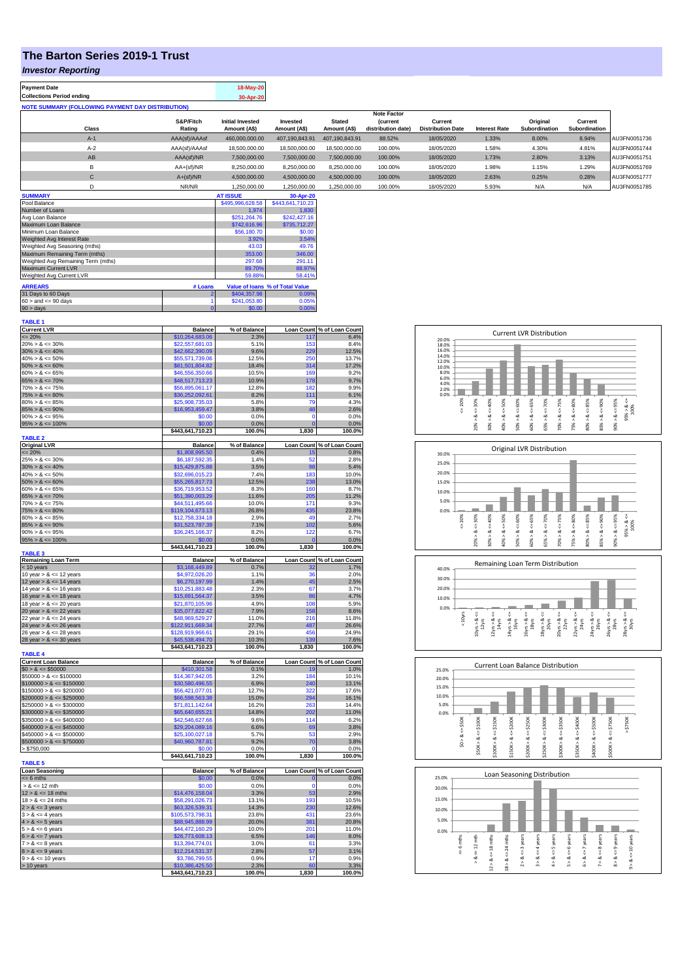## **The Barton Series 2019-1 Trust**

## *Investor Reporting*

| <b>Payment Date</b>                                      | 18-May-20 |
|----------------------------------------------------------|-----------|
| <b>Collections Period ending</b>                         | 30-Apr-20 |
| <b>NOTE SUMMARY (FOLLOWING PAYMENT DAY DISTRIBUTION)</b> |           |

|              |               |                         |                |                | <b>Note Factor</b> |                          |                      |               |               |              |
|--------------|---------------|-------------------------|----------------|----------------|--------------------|--------------------------|----------------------|---------------|---------------|--------------|
|              | S&P/Fitch     | <b>Initial Invested</b> | Invested       | <b>Stated</b>  | <b>Current</b>     | Current                  |                      | Original      | Current       |              |
| Class        | Rating        | Amount (A\$)            | Amount (A\$)   | Amount (A\$)   | distribution date) | <b>Distribution Date</b> | <b>Interest Rate</b> | Subordination | Subordination |              |
| $A-1$        | AAA(sf)/AAAsf | 460,000,000.00          | 407.190.843.91 | 407.190.843.91 | 88.52%             | 18/05/2020               | 1.33%                | 8.00%         | 8.94%         | AU3FN0051736 |
| $A-2$        | AAA(sf)/AAAsf | 18,500,000,00           | 18,500,000,00  | 18,500,000,00  | 100.00%            | 18/05/2020               | 1.58%                | 4.30%         | 4.81%         | AU3FN0051744 |
| AB           | AAA(sf)/NR    | 7.500.000.00            | 7.500.000.00   | 7.500.000.00   | 100.00%            | 18/05/2020               | 1.73%                | 2.80%         | 3.13%         | AU3FN0051751 |
| в            | $AA+(sf)/NR$  | 8,250,000.00            | 8,250,000.00   | 8,250,000.00   | 100.00%            | 18/05/2020               | 1.98%                | 1.15%         | 1.29%         | AU3FN0051769 |
| $\mathsf{C}$ | $A+(sf)/NR$   | 4,500,000.00            | 4,500,000.00   | 4.500.000.00   | 100.00%            | 18/05/2020               | 2.63%                | 0.25%         | 0.28%         | AU3FN0051777 |
|              | NR/NR         | 1.250.000.00            | 1.250.000.00   | 1.250.000.00   | 100.00%            | 18/05/2020               | 5.93%                | N/A           | N/A           | AU3FN0051785 |

| <b>SUMMARY</b>                     |         | <b>AT ISSUE</b>  | 30-Apr-20                       |
|------------------------------------|---------|------------------|---------------------------------|
| Pool Balance                       |         | \$495,996,628.58 | \$443,641,710.23                |
| Number of Loans                    |         | 1.974            | 1.830                           |
| Avg Loan Balance                   |         | \$251.264.76     | \$242,427.16                    |
| Maximum Loan Balance               |         | \$742,616.96     | \$735,712.27                    |
| Minimum Loan Balance               |         | \$56,180.70      | \$0.00                          |
| Weighted Avg Interest Rate         |         | 3.92%            | 3.54%                           |
| Weighted Avg Seasoning (mths)      |         | 43.03            | 49.76                           |
| Maximum Remaining Term (mths)      |         | 353.00           | 346.00                          |
| Weighted Avg Remaining Term (mths) |         | 297.68           | 291.11                          |
| Maximum Current LVR                |         | 89.70%           | 88.97%                          |
| Weighted Avg Current LVR           |         | 59.88%           | 58.41%                          |
| <b>ARREARS</b>                     | # Loans |                  | Value of Ioans % of Total Value |
| 31 Days to 60 Days                 |         | \$404,357.98     | 0.09%                           |
| $60 >$ and $\leq 90$ days          |         | \$241.053.80     | 0.05%                           |
| $90 >$ days                        | 0       | \$0.00           | 0.00%                           |

| <b>TABLE 1</b>                                          |                                     |                |                |                            |
|---------------------------------------------------------|-------------------------------------|----------------|----------------|----------------------------|
| <b>Current LVR</b>                                      | <b>Balance</b>                      | % of Balance   |                | Loan Count % of Loan Count |
| $= 20%$                                                 | \$10,264,683.06                     | 2.3%           | 117            | 6.4%                       |
| $20\% > 8 \le 30\%$                                     | \$22,557,681.03                     | 5.1%           | 153            | 8.4%                       |
| $30\% > 8 \le 40\%$                                     | \$42,662,390.09                     | 9.6%           | 229            | 12.5%                      |
| $40\% > 8 \le 50\%$                                     | \$55,571,739.06                     | 12.5%          | 250            | 13.7%                      |
| $50\% > 8 \le 60\%$<br>$60\% > 8 \le 65\%$              | \$81,501,804.82<br>\$46,556,350.66  | 18.4%<br>10.5% | 314<br>169     | 17.2%<br>9.2%              |
| $65\% > 8 \le 70\%$                                     | \$48,517,713.23                     | 10.9%          | 178            | 9.7%                       |
| $70\% > 8 \le 75\%$                                     | \$56,895,061.17                     | 12.8%          | 182            | 9.9%                       |
| $75\% > 8 \le 80\%$                                     | \$36,252,092.61                     | 8.2%           | 111            | 6.1%                       |
| $80\% > 8 \le 85\%$                                     | \$25,908,735.03                     | 5.8%           | 79             | 4.3%                       |
| $85\% > 8 \le 90\%$                                     | \$16,953,459.47                     | 3.8%           | 48             | 2.6%                       |
| $90\% > 8 \le 95\%$                                     | \$0.00                              | 0.0%           | $\mathbf 0$    | 0.0%                       |
| $95\% > 8 \le 100\%$                                    | \$0.00                              | 0.0%           | $\overline{0}$ | 0.0%                       |
|                                                         | \$443,641,710.23                    | 100.0%         | 1,830          | 100.0%                     |
| <b>TABLE 2</b>                                          |                                     |                |                |                            |
| <b>Original LVR</b>                                     | <b>Balance</b>                      | % of Balance   |                | Loan Count % of Loan Count |
| $= 20%$                                                 | \$1,808,995.50                      | 0.4%           | 15             | 0.8%                       |
| $25\% > 8 \le 30\%$                                     | \$6,187,592.35                      | 1.4%           | 52             | 2.8%                       |
| $30\% > 8 \le 40\%$                                     | \$15,429,875.88                     | 3.5%           | 98             | 5.4%                       |
| $40\% > 8 \le 50\%$                                     | \$32,696,015.23                     | 7.4%           | 183            | 10.0%                      |
| $50\% > 8 \le 60\%$                                     | \$55,265,817.73                     | 12.5%          | 238            | 13.0%                      |
| $60\% > 8 \le 65\%$                                     | \$36,719,953.52                     | 8.3%           | 160            | 8.7%                       |
| $65\% > 8 \le 70\%$                                     | \$51,390,003.29                     | 11.6%          | 205            | 11.2%                      |
| $70\% > 8 \le 75\%$                                     | \$44,511,495.66                     | 10.0%          | 171            | 9.3%                       |
| $75\% > 8 \le 80\%$                                     | \$119,104,673.13                    | 26.8%          | 435            | 23.8%                      |
| $80\% > 8 \le 85\%$                                     | \$12,758,334.18                     | 2.9%           | 49             | 2.7%                       |
| $85\% > 8 \le 90\%$                                     | \$31,523,787.39                     | 7.1%           | 102            | 5.6%                       |
| $90\% > 8 \le 95\%$                                     | \$36,245,166.37                     | 8.2%           | 122            | 6.7%                       |
| $95\% > 8 \le 100\%$                                    | \$0.00                              | 0.0%           |                | 0.0%                       |
| <b>TABLE 3</b>                                          | \$443,641,710.23                    | 100.0%         | 1,830          | 100.0%                     |
| <b>Remaining Loan Term</b>                              | <b>Balance</b>                      | % of Balance   |                | Loan Count % of Loan Count |
| < 10 years                                              | \$3,168,449.89                      | 0.7%           |                | 1.7%                       |
| 10 year $> 8 \le 12$ years                              | \$4,972,026.20                      | 1.1%           | 36             | 2.0%                       |
| 12 year $> 8 \le 14$ years                              | \$6,270,197.99                      | 1.4%           | 45             | 2.5%                       |
| 14 year $> 8 \le 16$ years                              | \$10,251,883.48                     | 2.3%           | 67             | 3.7%                       |
| 16 year $> 8 \le 18$ years                              | \$15,691,564.37                     | 3.5%           | 86             | 4.7%                       |
| 18 year $> 8 \le 20$ years                              | \$21,870,105.96                     | 4.9%           | 108            | 5.9%                       |
| 20 year $> 8 \le 22$ years                              | \$35,077,822.42                     | 7.9%           | 158            | 8.6%                       |
| 22 year $> 8 \le 24$ years                              | \$48,969,529.27                     | 11.0%          | 216            | 11.8%                      |
| 24 year $> 8 \le 26$ years                              | \$122,911,669.34                    | 27.7%          | 487            | 26.6%                      |
| 26 year $> 8 \le 28$ years                              | \$128,919,966.61                    | 29.1%          | 456            | 24.9%                      |
| 28 year $> 8 \le 30$ years                              | \$45,538,494.70                     | 10.3%          | 139            | 7.6%                       |
|                                                         | \$443,641,710.23                    | 100.0%         | 1,830          | 100.0%                     |
| <b>TABLE 4</b>                                          |                                     |                |                |                            |
| <b>Current Loan Balance</b>                             | <b>Balance</b>                      | % of Balance   |                | Loan Count % of Loan Count |
| $$0 > 8 \le $50000$                                     | \$410,301.58                        | 0.1%           | 19             | 1.0%                       |
| $$50000 > 8 \le $100000$                                | \$14,367,942.05                     | 3.2%           | 184            | 10.1%                      |
| $$100000 > 8 \le $150000$                               | \$30,580,496.55                     | 6.9%           | 240<br>322     | 13.1%<br>17.6%             |
| $$150000 > 8 \le $200000$<br>$$200000 > 8 \leq $250000$ | \$56,421,077.01<br>\$66,598,563.38  | 12.7%<br>15.0% | 294            | 16.1%                      |
| $$250000 > 8 \le $300000$                               | \$71,811,142.64                     | 16.2%          | 263            | 14.4%                      |
| $$300000 > 8 \le $350000$                               | \$65,640,655.21                     | 14.8%          | 202            | 11.0%                      |
| $$350000 > 8 \le $400000$                               | \$42,546,627.66                     | 9.6%           | 114            | 6.2%                       |
| $$400000 > 8 \le $450000$                               | \$29,204,089.16                     | 6.6%           | 69             | 3.8%                       |
| $$450000 > 8 \le $500000$                               | \$25,100,027,18                     | 5.7%           | 53             | 2.9%                       |
| $$500000 > 8 \le $750000$                               | \$40,960,787.81                     | 9.2%           | 70             | 3.8%                       |
| > \$750,000                                             | \$0.00                              | 0.0%           | O              | 0.0%                       |
|                                                         | \$443,641,710.23                    | 100.0%         | 1,830          | 100.0%                     |
| <b>TABLE 5</b>                                          |                                     |                |                |                            |
| <b>Loan Seasoning</b>                                   | <b>Balance</b>                      | % of Balance   |                | Loan Count % of Loan Count |
| $= 6$ mths                                              | \$0.00                              | 0.0%           | $\mathbf{0}$   | 0.0%                       |
| $> 8 \le 12$ mth                                        | \$0.00                              | 0.0%           | $\Omega$       | 0.0%                       |
| $12 > 8 \le 18$ mths                                    | \$14,476,158.04                     | 3.3%           | 53             | 2.9%                       |
| $18 > 8 \le 24$ mths                                    | \$58,291,026.73                     | 13.1%          | 193            | 10.5%                      |
| $2 > 8 \le 3$ years                                     | \$63,326,539.31                     | 14.3%          | 230            | 12.6%                      |
| $3 > 8 \le 4$ years                                     | \$105.573.798.31                    | 23.8%          | 431            | 23.6%                      |
| $4 > 8 \le 5$ years                                     |                                     | 20.0%          | 381            | 20.8%                      |
|                                                         | \$88,945,888.99                     |                |                |                            |
| $5 > 8 \le 6$ years                                     | \$44,472,160.29                     | 10.0%          | 201            | 11.0%                      |
| $6 > 8 \le 7$ years                                     | \$28,773,608.13                     | 6.5%           | 146            | 8.0%                       |
| $7 > 8 \le 8$ years                                     | \$13,394,774.01                     | 3.0%           | 61             | 3.3%                       |
| $8 > 8 \le 9$ years                                     | \$12,214,531.37                     | 2.8%           | 57             | 3.1%                       |
| $9 > 8 \le 10$ years                                    | \$3,786,799.55                      | 0.9%           | 17             | 0.9%                       |
| > 10 years                                              | \$10,386,425.50<br>\$443,641,710.23 | 2.3%<br>100.0% | 60<br>1,830    | 3.3%<br>100.0%             |

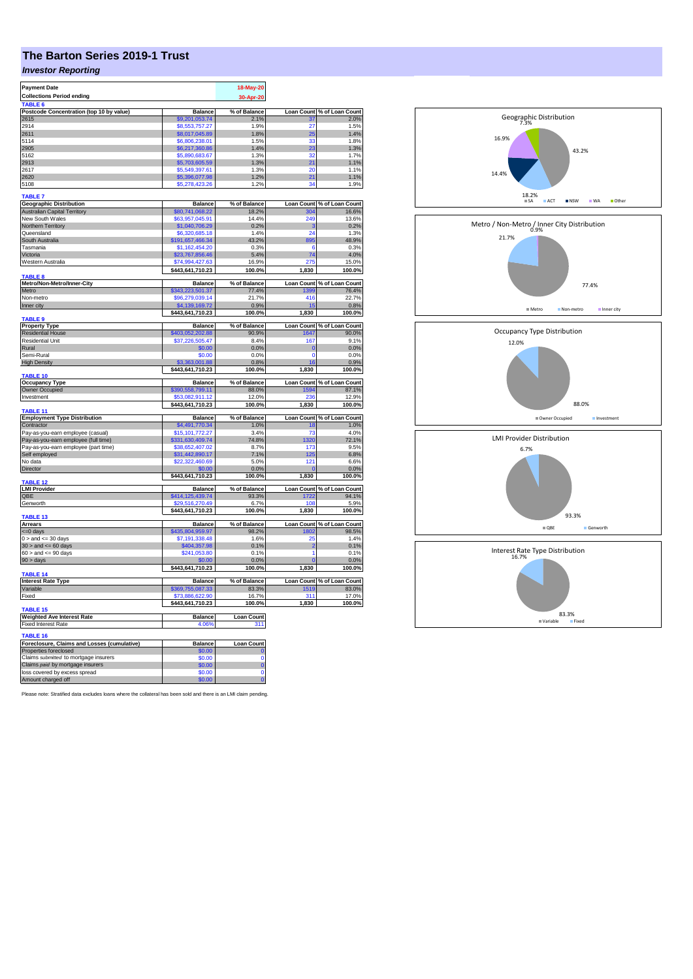# **The Barton Series 2019-1 Trust**

### *Investor Reporting*

| <b>Payment Date</b>                                 |                                     | 18-May-20               |                     |                                     |
|-----------------------------------------------------|-------------------------------------|-------------------------|---------------------|-------------------------------------|
| <b>Collections Period ending</b>                    |                                     |                         |                     |                                     |
|                                                     |                                     | 30-Apr-20               |                     |                                     |
| TABLE 6                                             |                                     |                         | <b>Loan Count</b>   |                                     |
| Postcode Concentration (top 10 by value)<br>2615    | <b>Balance</b><br>\$9,201,053.74    | % of Balance<br>2.1%    | 37                  | % of Loan Count<br>2.0%             |
| 2914                                                | \$8,553,757,27                      | 1.9%                    | 27                  | 1.5%                                |
| 2611                                                | \$8,017,045.89                      | 1.8%                    | 25                  | 1.4%                                |
| 5114                                                | \$6,806,238.01                      | 1.5%                    | 33                  | 1.8%                                |
| 2905                                                | \$6,217,360.86                      | 1.4%                    | 23                  | 1.3%                                |
| 5162                                                | \$5,890,683.67                      | 1.3%                    | 32                  | 1.7%                                |
| 2913                                                | \$5,703,605.59                      | 1.3%                    | 21                  | 1.1%                                |
| 2617                                                | \$5,549,397.61                      | 1.3%                    | 20                  | 1.1%                                |
| 2620                                                | \$5,396,077.98                      | 1.2%                    | 21                  |                                     |
| 5108                                                | \$5,278,423.26                      | 1.2%                    | 34                  | 1.1%                                |
|                                                     |                                     |                         |                     | 1.9%                                |
| <b>TABLE 7</b>                                      |                                     |                         |                     |                                     |
| <b>Geographic Distribution</b>                      | <b>Balance</b>                      | % of Balance            | <b>Loan Count</b>   | % of Loan Count                     |
| <b>Australian Capital Territory</b>                 | \$80,741,068.22                     | 18.2%                   | 304                 | 16.6%                               |
| New South Wales                                     | \$63,957,045.91                     | 14.4%                   | 249                 | 13.6%                               |
| Northern Territory                                  | \$1,040,706.29                      | 0.2%                    | з                   | 0.2%                                |
| Queensland                                          | \$6,320,685.18                      | 1.4%                    | 24                  | 1.3%                                |
| South Australia                                     | \$191,657,466.34                    | 43.2%                   | 895                 | 48.9%                               |
| Tasmania                                            | \$1.162.454.20                      | 0.3%                    | 6                   | 0.3%                                |
| Victoria                                            | \$23,767,856.46                     | 5.4%                    | 74                  | 4.0%                                |
| Western Australia                                   | \$74,994,427.63                     | 16.9%                   | 275                 | 15.0%                               |
|                                                     | \$443,641,710.23                    | 100.0%                  | 1,830               | 100.0%                              |
| TABLE 8                                             |                                     |                         |                     |                                     |
| Metro/Non-Metro/Inner-City                          | <b>Balance</b>                      | % of Balance            | <b>Loan Count</b>   | % of Loan Count                     |
| Metro                                               | \$343,223,501.37                    | 77.4%                   | 1399                | 76.4%                               |
| Non-metro                                           | \$96,279,039.14                     | 21.7%                   | 416                 | 22.7%                               |
| Inner city                                          | \$4,139,169.72                      | 0.9%                    |                     | 0.8%                                |
|                                                     | \$443,641,710.23                    | 100.0%                  | 1,830               | 100.0%                              |
| <b>TABLE 9</b>                                      |                                     |                         |                     |                                     |
| <b>Property Type</b>                                | <b>Balance</b>                      | % of Balance            | <b>Loan Count</b>   |                                     |
| <b>Residential House</b>                            | 403.052.202.88                      | 90.9%                   | 1647                | % of Loan Count<br>% 00.0%          |
| <b>Residential Unit</b>                             | \$37,226,505.47                     | 8.4%                    | 167                 | 9.1%                                |
| Rural                                               | \$0.00                              | 0.0%                    | $\overline{0}$      | 0.0%                                |
| Semi-Rural                                          | \$0.00                              | 0.0%                    | $\mathbf 0$         | 0.0%                                |
| <b>High Density</b>                                 | ,363,001.88                         | 0.8%                    | 16                  | 0.9%                                |
|                                                     | \$443,641,710.23                    | 100.0%                  | 1,830               | 100.0%                              |
| <b>TABLE 10</b>                                     |                                     |                         |                     |                                     |
|                                                     |                                     |                         |                     |                                     |
|                                                     |                                     |                         |                     |                                     |
| <b>Occupancy Type</b>                               | <b>Balance</b>                      | % of Balance<br>88.0%   | <b>Loan Count</b>   |                                     |
| Owner Occupied<br>Investment                        | \$390,558,799.11<br>\$53,082,911.12 | 12.0%                   | 1594<br>23          | of Loan Count<br>87.1%<br>12.9%     |
|                                                     |                                     |                         |                     |                                     |
| TABLE 11                                            | \$443,641,710.23                    | 100.0%                  | 1,830               | 100.0%                              |
|                                                     |                                     |                         |                     |                                     |
| <b>Employment Type Distribution</b><br>Contractor   | <b>Balance</b><br>\$4,491,770.34    | % of Balance<br>1.0%    | Loan Count<br>18    | % of Loan Count<br>1.0%             |
|                                                     |                                     | 3.4%                    | 73                  | 4.0%                                |
| Pay-as-you-earn employee (casual)                   | \$15,101,772.27                     |                         |                     |                                     |
| Pay-as-you-earn employee (full time)                | 331,630,409.74                      | 74.8%<br>8.7%           | 320<br>173          | 72.1%                               |
| Pay-as-you-earn employee (part time)                | \$38,652,407.02                     |                         | 125                 | 9.5%                                |
| Self employed                                       | \$31,442,890.17                     | 7.1%                    |                     | 6.8%                                |
| No data                                             | \$22,322,460.69                     | 5.0%                    | 121<br>$\mathbf{0}$ | 6.6%                                |
| Director                                            | \$0.00                              | 0.0%                    |                     | 0.0%                                |
| <b>TABLE 12</b>                                     | \$443,641,710.23                    | 100.0%                  | 1,830               | 100.0%                              |
|                                                     |                                     | % of Balance            |                     |                                     |
| <b>LMI Provider</b><br>QBE                          | <b>Balance</b><br>6414,125,439.74   | 93.3%                   | 1722                | Loan Count % of Loan Count<br>94.1% |
|                                                     |                                     | 6.7%                    | 108                 | 5.9%                                |
| Genworth                                            | \$29,516,270.49<br>\$443,641,710.23 | 100.0%                  |                     |                                     |
| TABLE 13                                            |                                     |                         | 1,830               | 100.0%                              |
| Arrears                                             | <b>Balance</b>                      | % of Balance            |                     | Loan Count % of Loan Count          |
| <=0 days                                            | \$435,804,959.97                    | 98.2%                   | 1802                | 98.5%                               |
| $0 >$ and $\leq 30$ days                            | \$7,191,338.48                      | 1.6%                    | 25                  | 1.4%                                |
| $30 >$ and $\leq 60$ days                           | \$404,357.98                        | 0.1%                    | 2                   | 0.1%                                |
| $60 >$ and $\leq 90$ days                           | \$241,053.80                        | 0.1%                    | 1                   | 0.1%                                |
|                                                     |                                     |                         |                     |                                     |
| 90 > days                                           | \$0.00<br>\$443,641,710.23          | 0.0%<br>100.0%          | 1.830               | 0.0%<br>100.0%                      |
| TABLE 14                                            |                                     |                         |                     |                                     |
| <b>Interest Rate Type</b>                           | <b>Balance</b>                      | % of Balance            | <b>Loan Count</b>   | % of Loan Count                     |
| Variable                                            | \$369,755,087.33                    | 83.3%                   | 1519                | 83.0%                               |
| Fixed                                               | \$73,886,622.90                     | 16.7%                   | 311                 | 17.0%                               |
|                                                     | \$443,641,710.23                    | 100.0%                  | 1,830               | 100.0%                              |
| TABLE <sub>15</sub>                                 |                                     |                         |                     |                                     |
| <b>Weighted Ave Interest Rate</b>                   | <b>Balance</b>                      | Loan Count              |                     |                                     |
| <b>Fixed Interest Rate</b>                          | 4.06%                               | 311                     |                     |                                     |
|                                                     |                                     |                         |                     |                                     |
| <b>TABLE 16</b>                                     |                                     |                         |                     |                                     |
| Foreclosure, Claims and Losses (cumulative)         | Balance                             | <b>Loan Count</b>       |                     |                                     |
| Properties foreclosed                               | \$0.00                              |                         |                     |                                     |
| Claims submitted to mortgage insurers               | \$0.00                              | $\Omega$                |                     |                                     |
| Claims paid by mortgage insurers                    | \$0.00                              | $\overline{0}$          |                     |                                     |
| loss covered by excess spread<br>Amount charged off | \$0.00<br>\$0.00                    | $\mathbf 0$<br>$\Omega$ |                     |                                     |

Please note: Stratified data excludes loans where the collateral has been sold and there is an LMI claim pending.